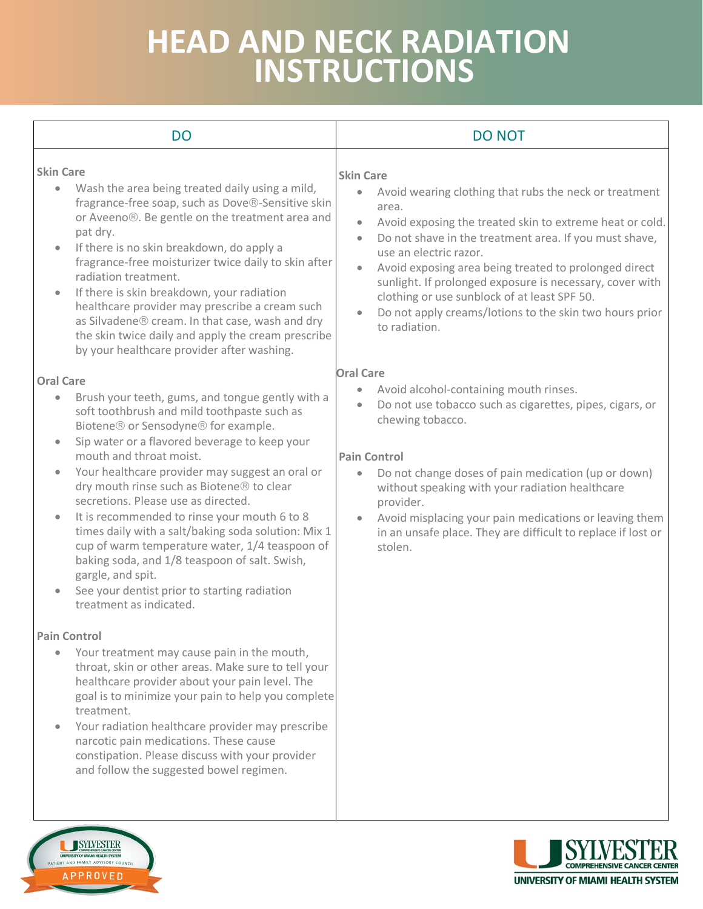## **HEAD AND NECK RADIATION INSTRUCTIONS**

| <b>DO</b>                                                                                                                                                                                                                                                                                                                                                                                                                                                                                                                                                                                                                                                                                                         | <b>DO NOT</b>                                                                                                                                                                                                                                                                                                                                                                                                                                                                                                                                         |
|-------------------------------------------------------------------------------------------------------------------------------------------------------------------------------------------------------------------------------------------------------------------------------------------------------------------------------------------------------------------------------------------------------------------------------------------------------------------------------------------------------------------------------------------------------------------------------------------------------------------------------------------------------------------------------------------------------------------|-------------------------------------------------------------------------------------------------------------------------------------------------------------------------------------------------------------------------------------------------------------------------------------------------------------------------------------------------------------------------------------------------------------------------------------------------------------------------------------------------------------------------------------------------------|
| <b>Skin Care</b><br>Wash the area being treated daily using a mild,<br>fragrance-free soap, such as Dove®-Sensitive skin<br>or Aveeno®. Be gentle on the treatment area and<br>pat dry.<br>If there is no skin breakdown, do apply a<br>$\bullet$<br>fragrance-free moisturizer twice daily to skin after<br>radiation treatment.<br>If there is skin breakdown, your radiation<br>healthcare provider may prescribe a cream such<br>as Silvadene® cream. In that case, wash and dry<br>the skin twice daily and apply the cream prescribe<br>by your healthcare provider after washing.                                                                                                                          | <b>Skin Care</b><br>Avoid wearing clothing that rubs the neck or treatment<br>$\bullet$<br>area.<br>Avoid exposing the treated skin to extreme heat or cold.<br>$\bullet$<br>Do not shave in the treatment area. If you must shave,<br>$\bullet$<br>use an electric razor.<br>Avoid exposing area being treated to prolonged direct<br>$\bullet$<br>sunlight. If prolonged exposure is necessary, cover with<br>clothing or use sunblock of at least SPF 50.<br>Do not apply creams/lotions to the skin two hours prior<br>$\bullet$<br>to radiation. |
| <b>Oral Care</b><br>Brush your teeth, gums, and tongue gently with a<br>$\bullet$<br>soft toothbrush and mild toothpaste such as<br>Biotene® or Sensodyne® for example.<br>Sip water or a flavored beverage to keep your<br>mouth and throat moist.<br>Your healthcare provider may suggest an oral or<br>dry mouth rinse such as Biotene® to clear<br>secretions. Please use as directed.<br>It is recommended to rinse your mouth 6 to 8<br>$\bullet$<br>times daily with a salt/baking soda solution: Mix 1<br>cup of warm temperature water, 1/4 teaspoon of<br>baking soda, and 1/8 teaspoon of salt. Swish,<br>gargle, and spit.<br>See your dentist prior to starting radiation<br>treatment as indicated. | <b>Oral Care</b><br>Avoid alcohol-containing mouth rinses.<br>Do not use tobacco such as cigarettes, pipes, cigars, or<br>۰<br>chewing tobacco.<br><b>Pain Control</b><br>Do not change doses of pain medication (up or down)<br>$\bullet$<br>without speaking with your radiation healthcare<br>provider.<br>Avoid misplacing your pain medications or leaving them<br>$\bullet$<br>in an unsafe place. They are difficult to replace if lost or<br>stolen.                                                                                          |
| <b>Pain Control</b><br>Your treatment may cause pain in the mouth,<br>$\bullet$<br>throat, skin or other areas. Make sure to tell your<br>healthcare provider about your pain level. The<br>goal is to minimize your pain to help you complete<br>treatment.<br>Your radiation healthcare provider may prescribe<br>narcotic pain medications. These cause<br>constipation. Please discuss with your provider<br>and follow the suggested bowel regimen.                                                                                                                                                                                                                                                          |                                                                                                                                                                                                                                                                                                                                                                                                                                                                                                                                                       |

SYLVESTER **UNIVERSITY OF MIAMI HEALTH SYSTEM**<br>PATIENT AND FAMILY ADVISORY COUNCI

APPROVED